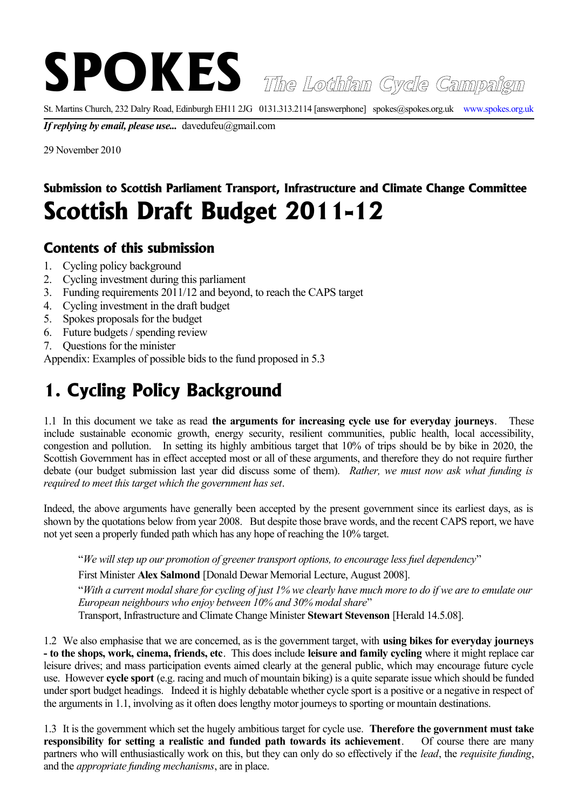**SPOKES The Lothian Cycle Campaign**

St. Martins Church, 232 Dalry Road, Edinburgh EH11 2JG 0131.313.2114 [answerphone] spokes@spokes.org.uk www.spokes.org.uk

*If replying by email, please use...* davedufeu@gmail.com

29 November 2010

## **Submission to Scottish Parliament Transport, Infrastructure and Climate Change Committee Scottish Draft Budget 2011-12**

## **Contents of this submission**

- 1. Cycling policy background
- 2. Cycling investment during this parliament
- 3. Funding requirements 2011/12 and beyond, to reach the CAPS target
- 4. Cycling investment in the draft budget
- 5. Spokes proposals for the budget
- 6. Future budgets / spending review
- 7. Questions for the minister

Appendix: Examples of possible bids to the fund proposed in 5.3

## **1. Cycling Policy Background**

1.1 In this document we take as read **the arguments for increasing cycle use for everyday journeys**. These include sustainable economic growth, energy security, resilient communities, public health, local accessibility, congestion and pollution. In setting its highly ambitious target that 10% of trips should be by bike in 2020, the Scottish Government has in effect accepted most or all of these arguments, and therefore they do not require further debate (our budget submission last year did discuss some of them). *Rather, we must now ask what funding is required to meet this target which the government has set*.

Indeed, the above arguments have generally been accepted by the present government since its earliest days, as is shown by the quotations below from year 2008. But despite those brave words, and the recent CAPS report, we have not yet seen a properly funded path which has any hope of reaching the 10% target.

"*We will step up our promotion of greener transport options, to encourage less fuel dependency*"

First Minister **Alex Salmond** [Donald Dewar Memorial Lecture, August 2008].

"*With a current modal share for cycling of just 1% we clearly have much more to do if we are to emulate our European neighbours who enjoy between 10% and 30% modal share*"

Transport, Infrastructure and Climate Change Minister **Stewart Stevenson** [Herald 14.5.08].

1.2 We also emphasise that we are concerned, as is the government target, with **using bikes for everyday journeys - to the shops, work, cinema, friends, etc**. This does include **leisure and family cycling** where it might replace car leisure drives; and mass participation events aimed clearly at the general public, which may encourage future cycle use. However **cycle sport** (e.g. racing and much of mountain biking) is a quite separate issue which should be funded under sport budget headings. Indeed it is highly debatable whether cycle sport is a positive or a negative in respect of the arguments in 1.1, involving as it often does lengthy motor journeys to sporting or mountain destinations.

1.3 It is the government which set the hugely ambitious target for cycle use. **Therefore the government must take responsibility for setting a realistic and funded path towards its achievement**. Of course there are many partners who will enthusiastically work on this, but they can only do so effectively if the *lead*, the *requisite funding*, and the *appropriate funding mechanisms*, are in place.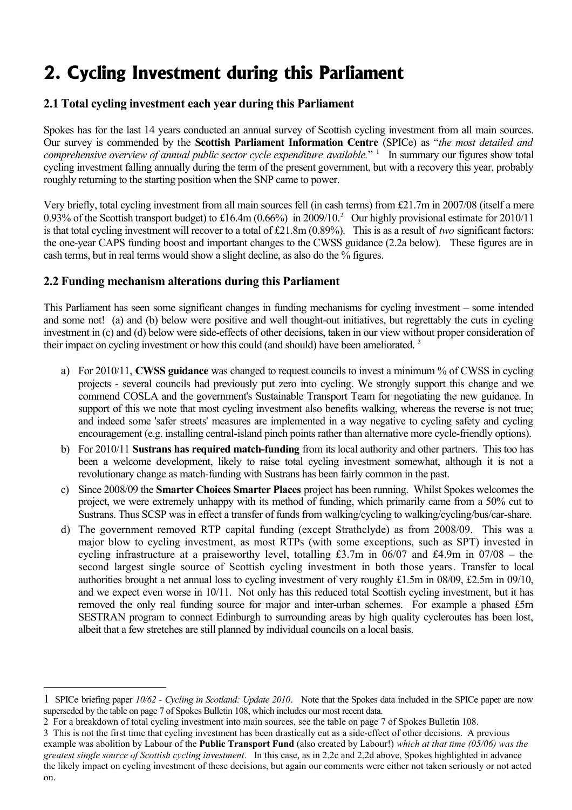# **2. Cycling Investment during this Parliament**

### **2.1 Total cycling investment each year during this Parliament**

Spokes has for the last 14 years conducted an annual survey of Scottish cycling investment from all main sources. Our survey is commended by the **Scottish Parliament Information Centre** (SPICe) as "*the most detailed and comprehensive overview of annual public sector cycle expenditure available.*" [1](#page-1-0) In summary our figures show total cycling investment falling annually during the term of the present government, but with a recovery this year, probably roughly returning to the starting position when the SNP came to power.

Very briefly, total cycling investment from all main sources fell (in cash terms) from £21.7m in 2007/08 (itself a mere 0.93% of the Scottish transport budget) to £16.4m (0.66%) in [2](#page-1-1)009/10.<sup>2</sup> Our highly provisional estimate for 2010/11 is that total cycling investment will recover to a total of £21.8m (0.89%). This is as a result of *two* significant factors: the one-year CAPS funding boost and important changes to the CWSS guidance (2.2a below). These figures are in cash terms, but in real terms would show a slight decline, as also do the % figures.

### **2.2 Funding mechanism alterations during this Parliament**

This Parliament has seen some significant changes in funding mechanisms for cycling investment – some intended and some not! (a) and (b) below were positive and well thought-out initiatives, but regrettably the cuts in cycling investment in (c) and (d) below were side-effects of other decisions, taken in our view without proper consideration of their impact on cycling investment or how this could (and should) have been ameliorated.<sup>[3](#page-1-2)</sup>

- a) For 2010/11, **CWSS guidance** was changed to request councils to invest a minimum % of CWSS in cycling projects - several councils had previously put zero into cycling. We strongly support this change and we commend COSLA and the government's Sustainable Transport Team for negotiating the new guidance. In support of this we note that most cycling investment also benefits walking, whereas the reverse is not true; and indeed some 'safer streets' measures are implemented in a way negative to cycling safety and cycling encouragement (e.g. installing central-island pinch points rather than alternative more cycle-friendly options).
- b) For 2010/11 **Sustrans has required match-funding** from its local authority and other partners. This too has been a welcome development, likely to raise total cycling investment somewhat, although it is not a revolutionary change as match-funding with Sustrans has been fairly common in the past.
- c) Since 2008/09 the **Smarter Choices Smarter Places** project has been running. Whilst Spokes welcomes the project, we were extremely unhappy with its method of funding, which primarily came from a 50% cut to Sustrans. Thus SCSP was in effect a transfer of funds from walking/cycling to walking/cycling/bus/car-share.
- d) The government removed RTP capital funding (except Strathclyde) as from 2008/09. This was a major blow to cycling investment, as most RTPs (with some exceptions, such as SPT) invested in cycling infrastructure at a praiseworthy level, totalling £3.7m in 06/07 and £4.9m in 07/08 – the second largest single source of Scottish cycling investment in both those years. Transfer to local authorities brought a net annual loss to cycling investment of very roughly £1.5m in 08/09, £2.5m in 09/10, and we expect even worse in 10/11. Not only has this reduced total Scottish cycling investment, but it has removed the only real funding source for major and inter-urban schemes. For example a phased £5m SESTRAN program to connect Edinburgh to surrounding areas by high quality cycleroutes has been lost. albeit that a few stretches are still planned by individual councils on a local basis.

<span id="page-1-0"></span><sup>1</sup> SPICe briefing paper *10/62 - Cycling in Scotland: Update 2010*. Note that the Spokes data included in the SPICe paper are now superseded by the table on page 7 of Spokes Bulletin 108, which includes our most recent data.

<span id="page-1-1"></span><sup>2</sup> For a breakdown of total cycling investment into main sources, see the table on page 7 of Spokes Bulletin 108.

<span id="page-1-2"></span><sup>3</sup> This is not the first time that cycling investment has been drastically cut as a side-effect of other decisions. A previous example was abolition by Labour of the **Public Transport Fund** (also created by Labour!) *which at that time (05/06) was the greatest single source of Scottish cycling investment*. In this case, as in 2.2c and 2.2d above, Spokes highlighted in advance the likely impact on cycling investment of these decisions, but again our comments were either not taken seriously or not acted on.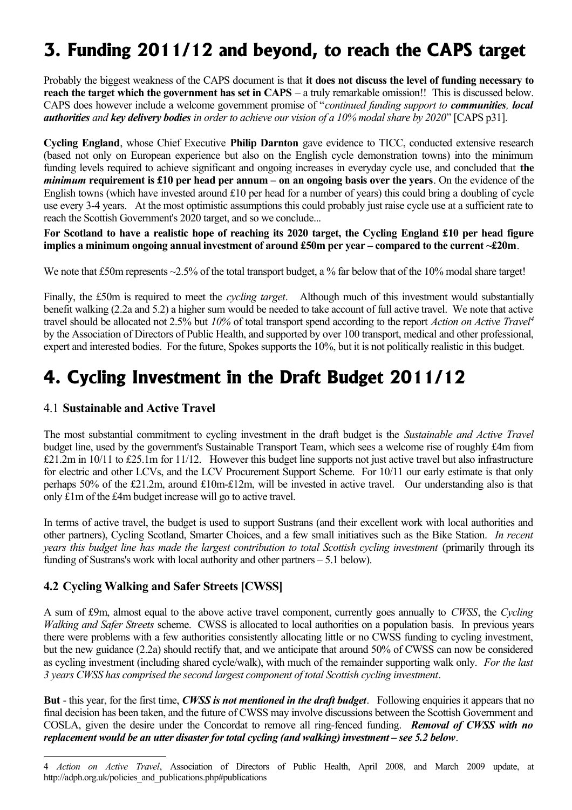# **3. Funding 2011/12 and beyond, to reach the CAPS target**

Probably the biggest weakness of the CAPS document is that **it does not discuss the level of funding necessary to reach the target which the government has set in CAPS** – a truly remarkable omission!! This is discussed below. CAPS does however include a welcome government promise of "*continued funding support to communities, local authorities and key delivery bodies in order to achieve our vision of a 10% modal share by 2020*" [CAPS p31].

**Cycling England**, whose Chief Executive **Philip Darnton** gave evidence to TICC, conducted extensive research (based not only on European experience but also on the English cycle demonstration towns) into the minimum funding levels required to achieve significant and ongoing increases in everyday cycle use, and concluded that **the** *minimum* **requirement is £10 per head per annum – on an ongoing basis over the years**. On the evidence of the English towns (which have invested around £10 per head for a number of years) this could bring a doubling of cycle use every 3-4 years. At the most optimistic assumptions this could probably just raise cycle use at a sufficient rate to reach the Scottish Government's 2020 target, and so we conclude...

**For Scotland to have a realistic hope of reaching its 2020 target, the Cycling England £10 per head figure implies a minimum ongoing annual investment of around £50m per year – compared to the current ~£20m**.

We note that £50m represents  $\sim$ 2.5% of the total transport budget, a % far below that of the 10% modal share target!

Finally, the £50m is required to meet the *cycling target*. Although much of this investment would substantially benefit walking (2.2a and 5.2) a higher sum would be needed to take account of full active travel. We note that active travel should be allocated not 2.5% but *10%* of total transport spend according to the report *Action on Active Travel[4](#page-2-0)* by the Association of Directors of Public Health, and supported by over 100 transport, medical and other professional, expert and interested bodies. For the future, Spokes supports the 10%, but it is not politically realistic in this budget.

## **4. Cycling Investment in the Draft Budget 2011/12**

### 4.1 **Sustainable and Active Travel**

The most substantial commitment to cycling investment in the draft budget is the *Sustainable and Active Travel* budget line, used by the government's Sustainable Transport Team, which sees a welcome rise of roughly £4m from £21.2m in 10/11 to £25.1m for 11/12. However this budget line supports not just active travel but also infrastructure for electric and other LCVs, and the LCV Procurement Support Scheme. For 10/11 our early estimate is that only perhaps 50% of the £21.2m, around £10m-£12m, will be invested in active travel. Our understanding also is that only £1m of the £4m budget increase will go to active travel.

In terms of active travel, the budget is used to support Sustrans (and their excellent work with local authorities and other partners), Cycling Scotland, Smarter Choices, and a few small initiatives such as the Bike Station. *In recent years this budget line has made the largest contribution to total Scottish cycling investment* (primarily through its funding of Sustrans's work with local authority and other partners – 5.1 below).

## **4.2 Cycling Walking and Safer Streets [CWSS]**

A sum of £9m, almost equal to the above active travel component, currently goes annually to *CWSS*, the *Cycling Walking and Safer Streets* scheme. CWSS is allocated to local authorities on a population basis. In previous years there were problems with a few authorities consistently allocating little or no CWSS funding to cycling investment, but the new guidance (2.2a) should rectify that, and we anticipate that around 50% of CWSS can now be considered as cycling investment (including shared cycle/walk), with much of the remainder supporting walk only. *For the last 3 years CWSS has comprised the second largest component of total Scottish cycling investment*.

**But** - this year, for the first time, *CWSS is not mentioned in the draft budget*. Following enquiries it appears that no final decision has been taken, and the future of CWSS may involve discussions between the Scottish Government and COSLA, given the desire under the Concordat to remove all ring-fenced funding. *Removal of CWSS with no replacement would be an utter disaster for total cycling (and walking) investment – see 5.2 below*.

<span id="page-2-0"></span><sup>4</sup> *Action on Active Travel*, Association of Directors of Public Health, April 2008, and March 2009 update, at http://adph.org.uk/policies\_and\_publications.php#publications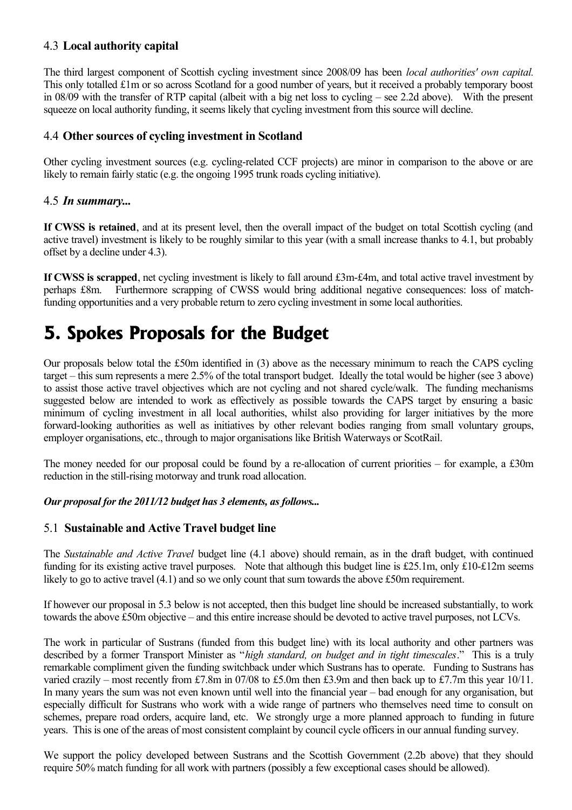#### 4.3 **Local authority capital**

The third largest component of Scottish cycling investment since 2008/09 has been *local authorities' own capital.* This only totalled £1m or so across Scotland for a good number of years, but it received a probably temporary boost in 08/09 with the transfer of RTP capital (albeit with a big net loss to cycling – see 2.2d above). With the present squeeze on local authority funding, it seems likely that cycling investment from this source will decline.

#### 4.4 **Other sources of cycling investment in Scotland**

Other cycling investment sources (e.g. cycling-related CCF projects) are minor in comparison to the above or are likely to remain fairly static (e.g. the ongoing 1995 trunk roads cycling initiative).

#### 4.5 *In summary...*

**If CWSS is retained**, and at its present level, then the overall impact of the budget on total Scottish cycling (and active travel) investment is likely to be roughly similar to this year (with a small increase thanks to 4.1, but probably offset by a decline under 4.3).

**If CWSS is scrapped**, net cycling investment is likely to fall around £3m-£4m, and total active travel investment by perhaps £8m. Furthermore scrapping of CWSS would bring additional negative consequences: loss of matchfunding opportunities and a very probable return to zero cycling investment in some local authorities.

## **5. Spokes Proposals for the Budget**

Our proposals below total the £50m identified in (3) above as the necessary minimum to reach the CAPS cycling target – this sum represents a mere 2.5% of the total transport budget. Ideally the total would be higher (see 3 above) to assist those active travel objectives which are not cycling and not shared cycle/walk. The funding mechanisms suggested below are intended to work as effectively as possible towards the CAPS target by ensuring a basic minimum of cycling investment in all local authorities, whilst also providing for larger initiatives by the more forward-looking authorities as well as initiatives by other relevant bodies ranging from small voluntary groups, employer organisations, etc., through to major organisations like British Waterways or ScotRail.

The money needed for our proposal could be found by a re-allocation of current priorities – for example, a £30m reduction in the still-rising motorway and trunk road allocation.

#### *Our proposal for the 2011/12 budget has 3 elements, as follows...*

#### 5.1 **Sustainable and Active Travel budget line**

The *Sustainable and Active Travel* budget line (4.1 above) should remain, as in the draft budget, with continued funding for its existing active travel purposes. Note that although this budget line is £25.1m, only £10-£12m seems likely to go to active travel (4.1) and so we only count that sum towards the above £50m requirement.

If however our proposal in 5.3 below is not accepted, then this budget line should be increased substantially, to work towards the above £50m objective – and this entire increase should be devoted to active travel purposes, not LCVs.

The work in particular of Sustrans (funded from this budget line) with its local authority and other partners was described by a former Transport Minister as "*high standard, on budget and in tight timescales*." This is a truly remarkable compliment given the funding switchback under which Sustrans has to operate. Funding to Sustrans has varied crazily – most recently from £7.8m in 07/08 to £5.0m then £3.9m and then back up to £7.7m this year 10/11. In many years the sum was not even known until well into the financial year – bad enough for any organisation, but especially difficult for Sustrans who work with a wide range of partners who themselves need time to consult on schemes, prepare road orders, acquire land, etc. We strongly urge a more planned approach to funding in future years. This is one of the areas of most consistent complaint by council cycle officers in our annual funding survey.

We support the policy developed between Sustrans and the Scottish Government (2.2b above) that they should require 50% match funding for all work with partners (possibly a few exceptional cases should be allowed).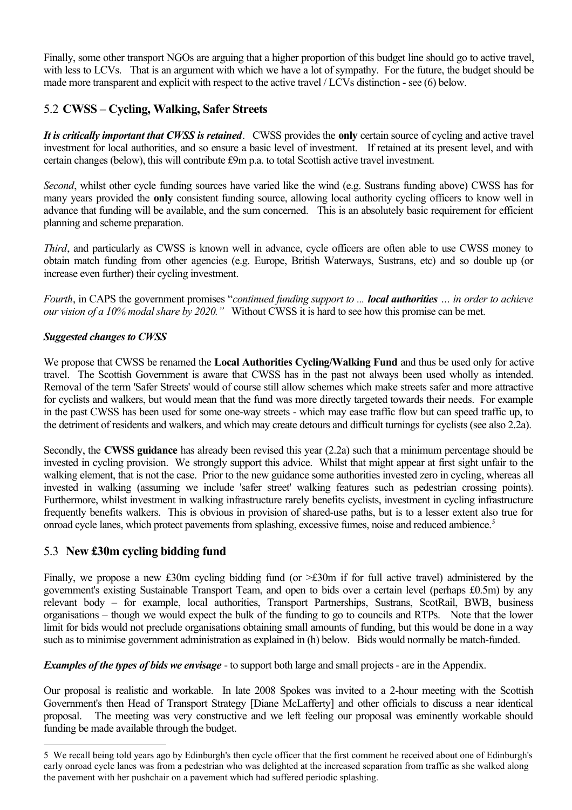Finally, some other transport NGOs are arguing that a higher proportion of this budget line should go to active travel, with less to LCVs. That is an argument with which we have a lot of sympathy. For the future, the budget should be made more transparent and explicit with respect to the active travel / LCVs distinction - see (6) below.

### 5.2 **CWSS – Cycling, Walking, Safer Streets**

*It is critically important that CWSS is retained*. CWSS provides the **only** certain source of cycling and active travel investment for local authorities, and so ensure a basic level of investment. If retained at its present level, and with certain changes (below), this will contribute £9m p.a. to total Scottish active travel investment.

*Second*, whilst other cycle funding sources have varied like the wind (e.g. Sustrans funding above) CWSS has for many years provided the **only** consistent funding source, allowing local authority cycling officers to know well in advance that funding will be available, and the sum concerned. This is an absolutely basic requirement for efficient planning and scheme preparation.

*Third*, and particularly as CWSS is known well in advance, cycle officers are often able to use CWSS money to obtain match funding from other agencies (e.g. Europe, British Waterways, Sustrans, etc) and so double up (or increase even further) their cycling investment.

*Fourth*, in CAPS the government promises "*continued funding support to ... local authorities … in order to achieve our vision of a 10% modal share by 2020."* Without CWSS it is hard to see how this promise can be met.

#### *Suggested changes to CWSS*

We propose that CWSS be renamed the **Local Authorities Cycling/Walking Fund** and thus be used only for active travel. The Scottish Government is aware that CWSS has in the past not always been used wholly as intended. Removal of the term 'Safer Streets' would of course still allow schemes which make streets safer and more attractive for cyclists and walkers, but would mean that the fund was more directly targeted towards their needs. For example in the past CWSS has been used for some one-way streets - which may ease traffic flow but can speed traffic up, to the detriment of residents and walkers, and which may create detours and difficult turnings for cyclists (see also 2.2a).

Secondly, the **CWSS guidance** has already been revised this year (2.2a) such that a minimum percentage should be invested in cycling provision. We strongly support this advice. Whilst that might appear at first sight unfair to the walking element, that is not the case. Prior to the new guidance some authorities invested zero in cycling, whereas all invested in walking (assuming we include 'safer street' walking features such as pedestrian crossing points). Furthermore, whilst investment in walking infrastructure rarely benefits cyclists, investment in cycling infrastructure frequently benefits walkers. This is obvious in provision of shared-use paths, but is to a lesser extent also true for onroad cycle lanes, which protect pavements from splashing, excessive fumes, noise and reduced ambience.<sup>[5](#page-4-0)</sup>

### 5.3 **New £30m cycling bidding fund**

Finally, we propose a new £30m cycling bidding fund (or >£30m if for full active travel) administered by the government's existing Sustainable Transport Team, and open to bids over a certain level (perhaps £0.5m) by any relevant body – for example, local authorities, Transport Partnerships, Sustrans, ScotRail, BWB, business organisations – though we would expect the bulk of the funding to go to councils and RTPs. Note that the lower limit for bids would not preclude organisations obtaining small amounts of funding, but this would be done in a way such as to minimise government administration as explained in (h) below. Bids would normally be match-funded.

*Examples of the types of bids we envisage* - to support both large and small projects - are in the Appendix.

Our proposal is realistic and workable. In late 2008 Spokes was invited to a 2-hour meeting with the Scottish Government's then Head of Transport Strategy [Diane McLafferty] and other officials to discuss a near identical proposal. The meeting was very constructive and we left feeling our proposal was eminently workable should funding be made available through the budget.

<span id="page-4-0"></span><sup>5</sup> We recall being told years ago by Edinburgh's then cycle officer that the first comment he received about one of Edinburgh's early onroad cycle lanes was from a pedestrian who was delighted at the increased separation from traffic as she walked along the pavement with her pushchair on a pavement which had suffered periodic splashing.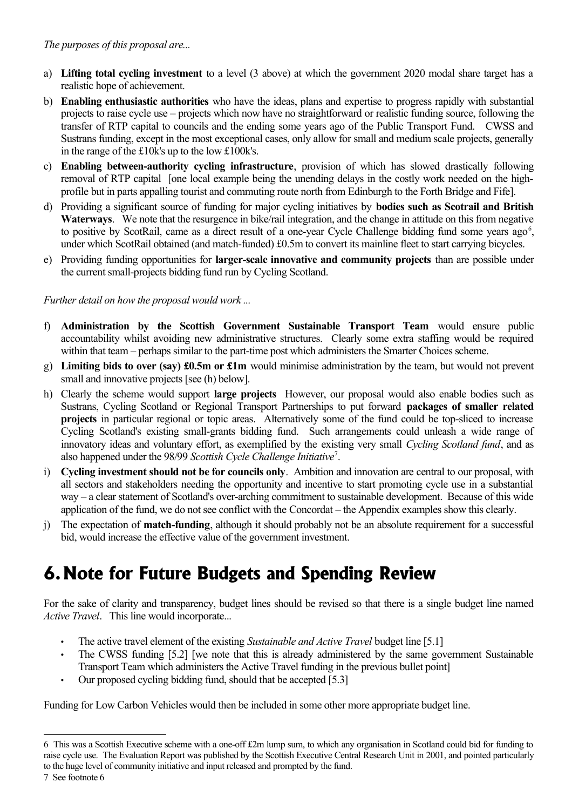- a) **Lifting total cycling investment** to a level (3 above) at which the government 2020 modal share target has a realistic hope of achievement.
- b) **Enabling enthusiastic authorities** who have the ideas, plans and expertise to progress rapidly with substantial projects to raise cycle use – projects which now have no straightforward or realistic funding source, following the transfer of RTP capital to councils and the ending some years ago of the Public Transport Fund. CWSS and Sustrans funding, except in the most exceptional cases, only allow for small and medium scale projects, generally in the range of the £10k's up to the low £100k's.
- c) **Enabling between-authority cycling infrastructure**, provision of which has slowed drastically following removal of RTP capital [one local example being the unending delays in the costly work needed on the highprofile but in parts appalling tourist and commuting route north from Edinburgh to the Forth Bridge and Fife].
- d) Providing a significant source of funding for major cycling initiatives by **bodies such as Scotrail and British Waterways**. We note that the resurgence in bike/rail integration, and the change in attitude on this from negative to positive by ScotRail, came as a direct result of a one-year Cycle Challenge bidding fund some years ago<sup>[6](#page-5-0)</sup>, under which ScotRail obtained (and match-funded) £0.5m to convert its mainline fleet to start carrying bicycles.
- e) Providing funding opportunities for **larger-scale innovative and community projects** than are possible under the current small-projects bidding fund run by Cycling Scotland.

*Further detail on how the proposal would work ...*

- f) **Administration by the Scottish Government Sustainable Transport Team** would ensure public accountability whilst avoiding new administrative structures. Clearly some extra staffing would be required within that team – perhaps similar to the part-time post which administers the Smarter Choices scheme.
- g) **Limiting bids to over (say) £0.5m or £1m** would minimise administration by the team, but would not prevent small and innovative projects [see (h) below].
- h) Clearly the scheme would support **large projects** However, our proposal would also enable bodies such as Sustrans, Cycling Scotland or Regional Transport Partnerships to put forward **packages of smaller related projects** in particular regional or topic areas. Alternatively some of the fund could be top-sliced to increase Cycling Scotland's existing small-grants bidding fund. Such arrangements could unleash a wide range of innovatory ideas and voluntary effort, as exemplified by the existing very small *Cycling Scotland fund*, and as also happened under the 98/99 *Scottish Cycle Challenge Initiative*[7](#page-5-1) .
- i) **Cycling investment should not be for councils only**. Ambition and innovation are central to our proposal, with all sectors and stakeholders needing the opportunity and incentive to start promoting cycle use in a substantial way – a clear statement of Scotland's over-arching commitment to sustainable development. Because of this wide application of the fund, we do not see conflict with the Concordat – the Appendix examples show this clearly.
- j) The expectation of **match-funding**, although it should probably not be an absolute requirement for a successful bid, would increase the effective value of the government investment.

# **6.Note for Future Budgets and Spending Review**

For the sake of clarity and transparency, budget lines should be revised so that there is a single budget line named *Active Travel*. This line would incorporate...

- The active travel element of the existing *Sustainable and Active Travel* budget line [5.1]
- The CWSS funding [5.2] [we note that this is already administered by the same government Sustainable Transport Team which administers the Active Travel funding in the previous bullet point]
- Our proposed cycling bidding fund, should that be accepted [5.3]

Funding for Low Carbon Vehicles would then be included in some other more appropriate budget line.

<span id="page-5-0"></span><sup>6</sup> This was a Scottish Executive scheme with a one-off £2m lump sum, to which any organisation in Scotland could bid for funding to raise cycle use. The Evaluation Report was published by the Scottish Executive Central Research Unit in 2001, and pointed particularly to the huge level of community initiative and input released and prompted by the fund.

<span id="page-5-1"></span><sup>7</sup> See footnote 6